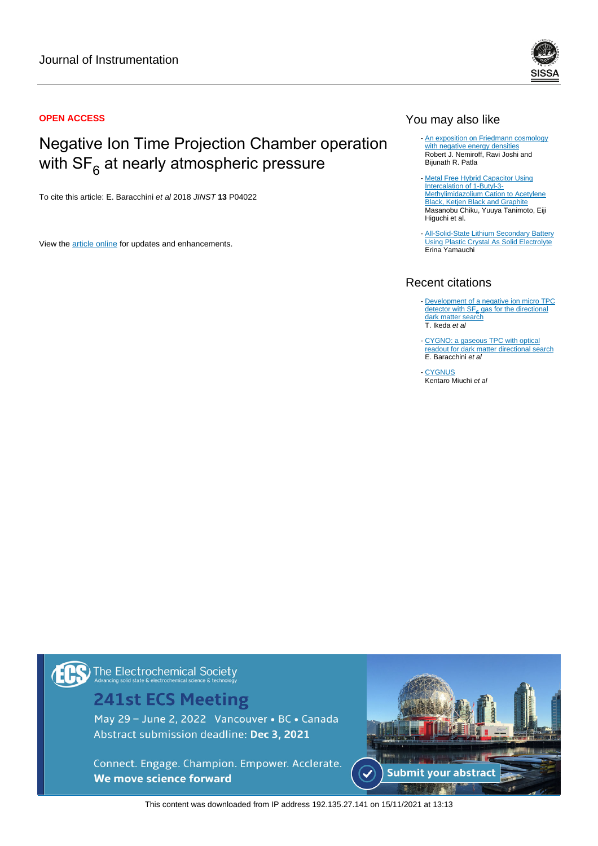

## Negative Ion Time Projection Chamber operation with SF $_{\rm 6}$  at nearly atmospheric pressure

To cite this article: E. Baracchini et al 2018 JINST **13** P04022

View the [article online](https://doi.org/10.1088/1748-0221/13/04/P04022) for updates and enhancements.



### You may also like

- [An exposition on Friedmann cosmology](/article/10.1088/1475-7516/2015/06/006) [with negative energy densities](/article/10.1088/1475-7516/2015/06/006) Robert J. Nemiroff, Ravi Joshi and Bijunath R. Patla
- [Metal Free Hybrid Capacitor Using](/article/10.1149/MA2016-02/7/1027) [Intercalation of 1-Butyl-3-](/article/10.1149/MA2016-02/7/1027) [Methylimidazolium Cation to Acetylene](/article/10.1149/MA2016-02/7/1027) [Black, Ketjen Black and Graphite](/article/10.1149/MA2016-02/7/1027) Masanobu Chiku, Yuuya Tanimoto, Eiji Higuchi et al.
- [All-Solid-State Lithium Secondary Battery](/article/10.1149/MA2015-02/3/234) **[Using Plastic Crystal As Solid Electrolyte](/article/10.1149/MA2015-02/3/234)** Erina Yamauchi -

#### Recent citations

- [Development of a negative ion micro TPC](http://iopscience.iop.org/1748-0221/15/07/P07015) [detector with SF](http://iopscience.iop.org/1748-0221/15/07/P07015)<sub>6</sub> [gas for the directional](http://iopscience.iop.org/1748-0221/15/07/P07015) <u>[dark matter search](http://iopscience.iop.org/1748-0221/15/07/P07015)</u><br>T. Ikeda *et al*
- [CYGNO: a gaseous TPC with optical](http://iopscience.iop.org/1748-0221/15/07/C07036) [readout for dark matter directional search](http://iopscience.iop.org/1748-0221/15/07/C07036) E. Baracchini et al
- **[CYGNUS](http://iopscience.iop.org/1742-6596/1468/1/012044) Kentaro Miuchi et al** -

### The Electrochemical Society

### **241st ECS Meeting**

May 29 - June 2, 2022 Vancouver • BC • Canada Abstract submission deadline: Dec 3, 2021

Connect. Engage. Champion. Empower. Acclerate. We move science forward



This content was downloaded from IP address 192.135.27.141 on 15/11/2021 at 13:13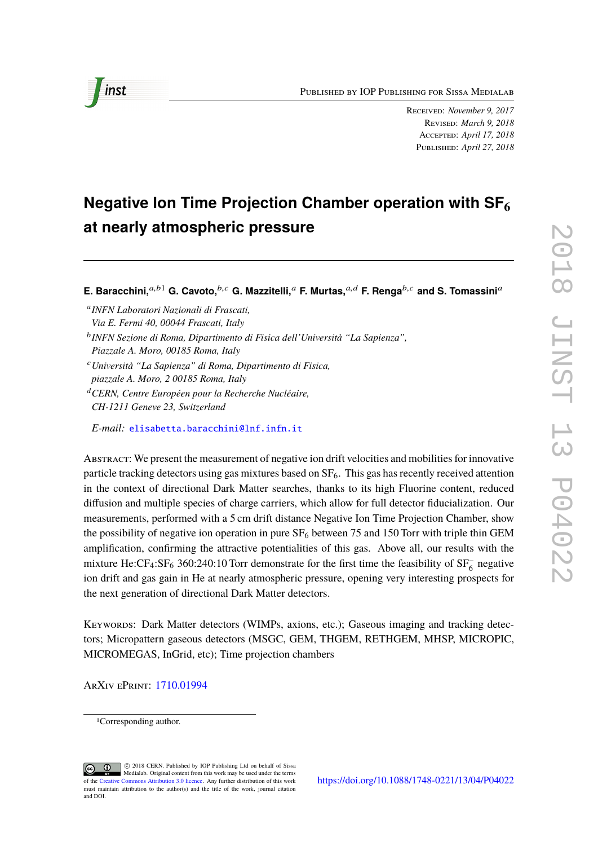Published by IOP Publishing for Sissa Medialab



Received: *November 9, 2017* Revised: *March 9, 2018* Accepted: *April 17, 2018* Published: *April 27, 2018*

# **Negative Ion Time Projection Chamber operation with SF6 at nearly atmospheric pressure**

**E. Baracchini,** $a,b1$  **G. Cavoto,** $b,c$  **G. Mazzitelli,** $a$  **F. Murtas,** $a,d$  **F. Renga** $b,c$  and S. Tomassinia

a *INFN Laboratori Nazionali di Frascati, Via E. Fermi 40, 00044 Frascati, Italy*

- <sup>c</sup>*Università "La Sapienza" di Roma, Dipartimento di Fisica, piazzale A. Moro, 2 00185 Roma, Italy*
- <sup>d</sup>*CERN, Centre Européen pour la Recherche Nucléaire, CH-1211 Geneve 23, Switzerland*

*E-mail:* [elisabetta.baracchini@lnf.infn.it](mailto:elisabetta.baracchini@lnf.infn.it)

Abstract: We present the measurement of negative ion drift velocities and mobilities for innovative particle tracking detectors using gas mixtures based on  $SF<sub>6</sub>$ . This gas has recently received attention in the context of directional Dark Matter searches, thanks to its high Fluorine content, reduced diffusion and multiple species of charge carriers, which allow for full detector fiducialization. Our measurements, performed with a 5 cm drift distance Negative Ion Time Projection Chamber, show the possibility of negative ion operation in pure  $SF_6$  between 75 and 150 Torr with triple thin GEM amplification, confirming the attractive potentialities of this gas. Above all, our results with the mixture He:CF<sub>4</sub>:SF<sub>6</sub> 360:240:10 Torr demonstrate for the first time the feasibility of SF<sub>6</sub> negative ion drift and gas gain in He at nearly atmospheric pressure, opening very interesting prospects for the next generation of directional Dark Matter detectors.

Keywords: Dark Matter detectors (WIMPs, axions, etc.); Gaseous imaging and tracking detectors; Micropattern gaseous detectors (MSGC, GEM, THGEM, RETHGEM, MHSP, MICROPIC, MICROMEGAS, InGrid, etc); Time projection chambers

ArXiv ePrint: [1710.01994](https://arxiv.org/abs/1710.01994)

b *INFN Sezione di Roma, Dipartimento di Fisica dell'Università "La Sapienza", Piazzale A. Moro, 00185 Roma, Italy*

<sup>1</sup>Corresponding author.

c 2018 CERN. Published by IOP Publishing Ltd on behalf of Sissa Medialab. Original content from this work may be used under the terms of the [Creative](http://creativecommons.org/licenses/by/3.0/) [Commons Attribution 3.0 licence.](http://creativecommons.org/licenses/by/3.0/) Any further distribution of this work must maintain attribution to the author(s) and the title of the work, journal citation and DOI.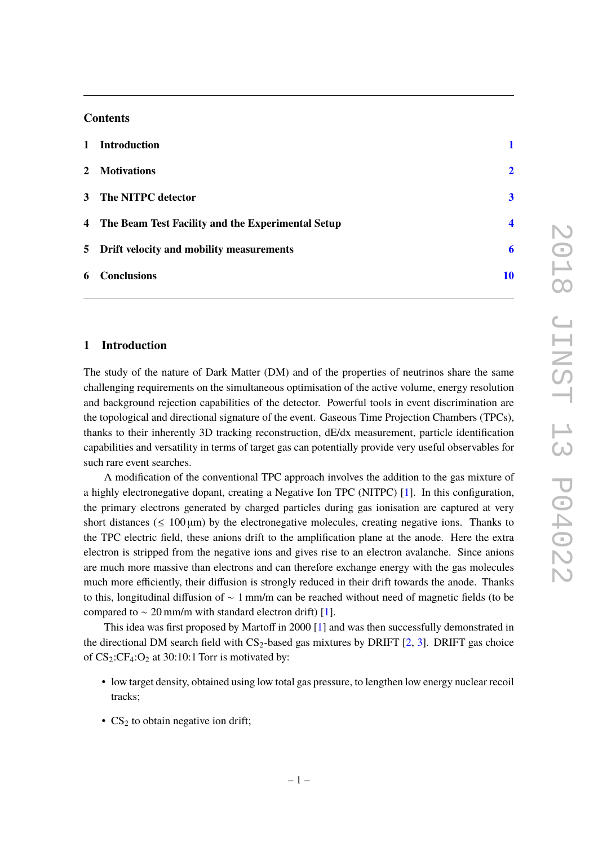#### **Contents**

| 1 Introduction                                      |                         |
|-----------------------------------------------------|-------------------------|
| 2 Motivations                                       | $\overline{\mathbf{2}}$ |
| 3 The NITPC detector                                | $\overline{\mathbf{3}}$ |
| 4 The Beam Test Facility and the Experimental Setup | $\boldsymbol{4}$        |
| 5 Drift velocity and mobility measurements          | 6                       |
| 6 Conclusions                                       | 10                      |

#### <span id="page-2-0"></span>**1 Introduction**

The study of the nature of Dark Matter (DM) and of the properties of neutrinos share the same challenging requirements on the simultaneous optimisation of the active volume, energy resolution and background rejection capabilities of the detector. Powerful tools in event discrimination are the topological and directional signature of the event. Gaseous Time Projection Chambers (TPCs), thanks to their inherently 3D tracking reconstruction, dE/dx measurement, particle identification capabilities and versatility in terms of target gas can potentially provide very useful observables for such rare event searches.

A modification of the conventional TPC approach involves the addition to the gas mixture of a highly electronegative dopant, creating a Negative Ion TPC (NITPC) [\[1\]](#page-11-1). In this configuration, the primary electrons generated by charged particles during gas ionisation are captured at very short distances ( $\leq 100 \,\mu m$ ) by the electronegative molecules, creating negative ions. Thanks to the TPC electric field, these anions drift to the amplification plane at the anode. Here the extra electron is stripped from the negative ions and gives rise to an electron avalanche. Since anions are much more massive than electrons and can therefore exchange energy with the gas molecules much more efficiently, their diffusion is strongly reduced in their drift towards the anode. Thanks to this, longitudinal diffusion of ∼ 1 mm/m can be reached without need of magnetic fields (to be compared to  $\sim$  20 mm/m with standard electron drift) [\[1\]](#page-11-1).

This idea was first proposed by Martoff in 2000 [\[1\]](#page-11-1) and was then successfully demonstrated in the directional DM search field with  $CS_2$ -based gas mixtures by DRIFT [\[2,](#page-11-2) [3\]](#page-11-3). DRIFT gas choice of  $CS_2:CF_4:O_2$  at 30:10:1 Torr is motivated by:

- low target density, obtained using low total gas pressure, to lengthen low energy nuclear recoil tracks;
- $CS_2$  to obtain negative ion drift;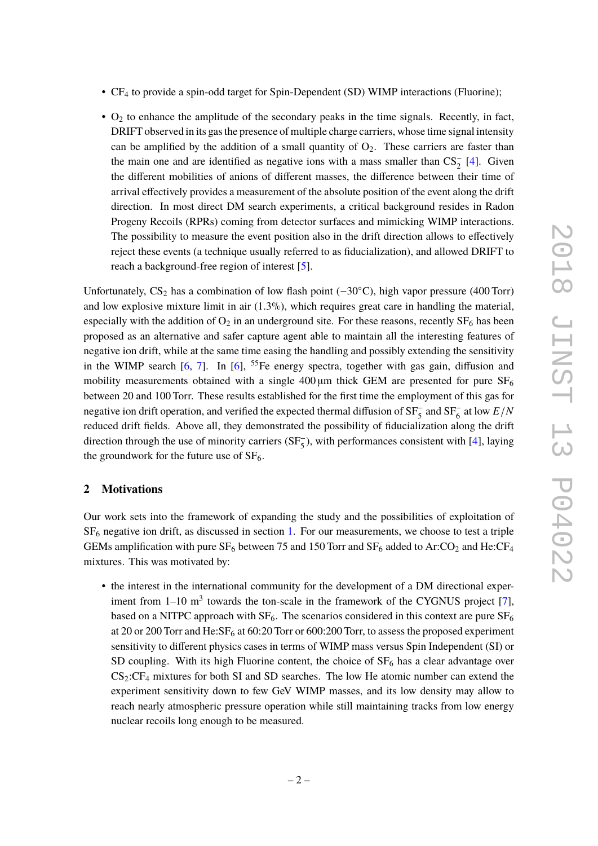- CF<sup>4</sup> to provide a spin-odd target for Spin-Dependent (SD) WIMP interactions (Fluorine);
- $\bullet$  O<sub>2</sub> to enhance the amplitude of the secondary peaks in the time signals. Recently, in fact, DRIFT observed in its gas the presence of multiple charge carriers, whose time signal intensity can be amplified by the addition of a small quantity of  $O_2$ . These carriers are faster than the main one and are identified as negative ions with a mass smaller than  $CS_2^-$  [\[4\]](#page-11-4). Given the different mobilities of anions of different masses, the difference between their time of arrival effectively provides a measurement of the absolute position of the event along the drift direction. In most direct DM search experiments, a critical background resides in Radon Progeny Recoils (RPRs) coming from detector surfaces and mimicking WIMP interactions. The possibility to measure the event position also in the drift direction allows to effectively reject these events (a technique usually referred to as fiducialization), and allowed DRIFT to reach a background-free region of interest [\[5\]](#page-12-0).

Unfortunately,  $CS_2$  has a combination of low flash point (−30 $°C$ ), high vapor pressure (400 Torr) and low explosive mixture limit in air (1.3%), which requires great care in handling the material, especially with the addition of  $O_2$  in an underground site. For these reasons, recently  $SF_6$  has been proposed as an alternative and safer capture agent able to maintain all the interesting features of negative ion drift, while at the same time easing the handling and possibly extending the sensitivity in the WIMP search  $[6, 7]$  $[6, 7]$  $[6, 7]$ . In  $[6]$ , <sup>55</sup>Fe energy spectra, together with gas gain, diffusion and mobility measurements obtained with a single  $400 \mu m$  thick GEM are presented for pure SF<sub>6</sub> between 20 and 100 Torr. These results established for the first time the employment of this gas for negative ion drift operation, and verified the expected thermal diffusion of  $SF_5^-$  and  $SF_6^-$  at low  $E/N$ reduced drift fields. Above all, they demonstrated the possibility of fiducialization along the drift direction through the use of minority carriers  $(SF_5^-)$ , with performances consistent with [\[4\]](#page-11-4), laying the groundwork for the future use of  $SF<sub>6</sub>$ .

#### <span id="page-3-0"></span>**2 Motivations**

Our work sets into the framework of expanding the study and the possibilities of exploitation of SF<sup>6</sup> negative ion drift, as discussed in section [1.](#page-2-0) For our measurements, we choose to test a triple GEMs amplification with pure  $SF_6$  between 75 and 150 Torr and  $SF_6$  added to Ar:CO<sub>2</sub> and He:CF<sub>4</sub> mixtures. This was motivated by:

• the interest in the international community for the development of a DM directional experiment from  $1-10$  m<sup>3</sup> towards the ton-scale in the framework of the CYGNUS project [\[7\]](#page-12-2), based on a NITPC approach with  $SF_6$ . The scenarios considered in this context are pure  $SF_6$ at 20 or 200 Torr and He: $SF<sub>6</sub>$  at 60:20 Torr or 600:200 Torr, to assess the proposed experiment sensitivity to different physics cases in terms of WIMP mass versus Spin Independent (SI) or SD coupling. With its high Fluorine content, the choice of  $SF<sub>6</sub>$  has a clear advantage over  $CS<sub>2</sub>:CF<sub>4</sub>$  mixtures for both SI and SD searches. The low He atomic number can extend the experiment sensitivity down to few GeV WIMP masses, and its low density may allow to reach nearly atmospheric pressure operation while still maintaining tracks from low energy nuclear recoils long enough to be measured.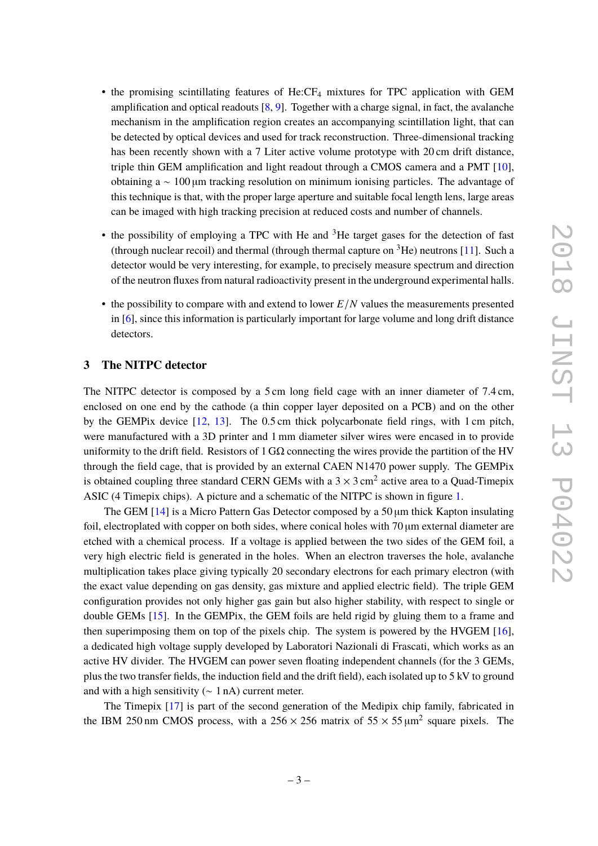- the promising scintillating features of He:CF<sub>4</sub> mixtures for TPC application with GEM amplification and optical readouts  $[8, 9]$  $[8, 9]$  $[8, 9]$ . Together with a charge signal, in fact, the avalanche mechanism in the amplification region creates an accompanying scintillation light, that can be detected by optical devices and used for track reconstruction. Three-dimensional tracking has been recently shown with a 7 Liter active volume prototype with 20 cm drift distance. triple thin GEM amplification and light readout through a CMOS camera and a PMT [\[10\]](#page-12-5), obtaining a  $\sim$  100 µm tracking resolution on minimum ionising particles. The advantage of this technique is that, with the proper large aperture and suitable focal length lens, large areas can be imaged with high tracking precision at reduced costs and number of channels.
- the possibility of employing a TPC with He and  ${}^{3}$ He target gases for the detection of fast (through nuclear recoil) and thermal (through thermal capture on  ${}^{3}$ He) neutrons [\[11\]](#page-12-6). Such a detector would be very interesting, for example, to precisely measure spectrum and direction of the neutron fluxes from natural radioactivity present in the underground experimental halls.
- the possibility to compare with and extend to lower *E*/*N* values the measurements presented in [\[6\]](#page-12-1), since this information is particularly important for large volume and long drift distance detectors.

#### <span id="page-4-0"></span>**3 The NITPC detector**

The NITPC detector is composed by a 5 cm long field cage with an inner diameter of 7.4 cm, enclosed on one end by the cathode (a thin copper layer deposited on a PCB) and on the other by the GEMPix device [\[12,](#page-12-7) [13\]](#page-12-8). The 0.5 cm thick polycarbonate field rings, with 1 cm pitch, were manufactured with a 3D printer and 1 mm diameter silver wires were encased in to provide uniformity to the drift field. Resistors of 1 G $\Omega$  connecting the wires provide the partition of the HV through the field cage, that is provided by an external CAEN N1470 power supply. The GEMPix is obtained coupling three standard CERN GEMs with a  $3 \times 3$  cm<sup>2</sup> active area to a Quad-Timepix ASIC (4 Timepix chips). A picture and a schematic of the NITPC is shown in figure [1.](#page-5-1)

The GEM  $[14]$  is a Micro Pattern Gas Detector composed by a 50  $\mu$ m thick Kapton insulating foil, electroplated with copper on both sides, where conical holes with 70  $\mu$ m external diameter are etched with a chemical process. If a voltage is applied between the two sides of the GEM foil, a very high electric field is generated in the holes. When an electron traverses the hole, avalanche multiplication takes place giving typically 20 secondary electrons for each primary electron (with the exact value depending on gas density, gas mixture and applied electric field). The triple GEM configuration provides not only higher gas gain but also higher stability, with respect to single or double GEMs [\[15\]](#page-12-10). In the GEMPix, the GEM foils are held rigid by gluing them to a frame and then superimposing them on top of the pixels chip. The system is powered by the HVGEM [\[16\]](#page-12-11), a dedicated high voltage supply developed by Laboratori Nazionali di Frascati, which works as an active HV divider. The HVGEM can power seven floating independent channels (for the 3 GEMs, plus the two transfer fields, the induction field and the drift field), each isolated up to 5 kV to ground and with a high sensitivity ( $\sim 1$  nA) current meter.

The Timepix [\[17\]](#page-12-12) is part of the second generation of the Medipix chip family, fabricated in the IBM 250 nm CMOS process, with a 256  $\times$  256 matrix of 55  $\times$  55  $\mu$ m<sup>2</sup> square pixels. The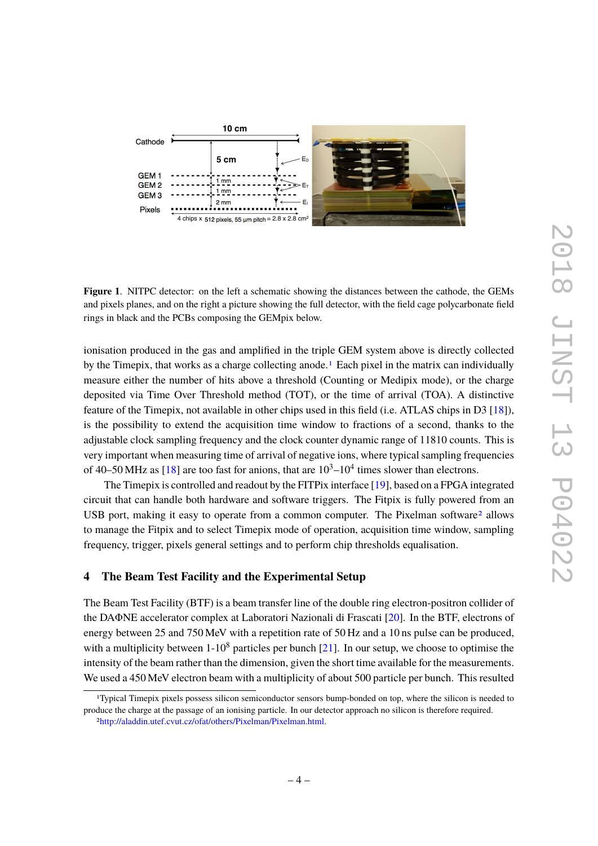

<span id="page-5-1"></span>**Figure 1**. NITPC detector: on the left a schematic showing the distances between the cathode, the GEMs and pixels planes, and on the right a picture showing the full detector, with the field cage polycarbonate field rings in black and the PCBs composing the GEMpix below.

ionisation produced in the gas and amplified in the triple GEM system above is directly collected by the Timepix, that works as a charge collecting anode.<sup>[1](#page-5-2)</sup> Each pixel in the matrix can individually measure either the number of hits above a threshold (Counting or Medipix mode), or the charge deposited via Time Over Threshold method (TOT), or the time of arrival (TOA). A distinctive feature of the Timepix, not available in other chips used in this field (i.e. ATLAS chips in D3 [\[18\]](#page-12-13)), is the possibility to extend the acquisition time window to fractions of a second, thanks to the adjustable clock sampling frequency and the clock counter dynamic range of 11810 counts. This is very important when measuring time of arrival of negative ions, where typical sampling frequencies of 40–50 MHz as [\[18\]](#page-12-13) are too fast for anions, that are  $10^3$ – $10^4$  times slower than electrons.

The Timepix is controlled and readout by the FITPix interface [\[19\]](#page-12-14), based on a FPGA integrated circuit that can handle both hardware and software triggers. The Fitpix is fully powered from an USB port, making it easy to operate from a common computer. The Pixelman software<sup>[2](#page-5-3)</sup> allows to manage the Fitpix and to select Timepix mode of operation, acquisition time window, sampling frequency, trigger, pixels general settings and to perform chip thresholds equalisation.

#### <span id="page-5-0"></span>**4 The Beam Test Facility and the Experimental Setup**

The Beam Test Facility (BTF) is a beam transfer line of the double ring electron-positron collider of the DAΦNE accelerator complex at Laboratori Nazionali di Frascati [\[20\]](#page-12-15). In the BTF, electrons of energy between 25 and 750 MeV with a repetition rate of 50 Hz and a 10 ns pulse can be produced, with a multiplicity between  $1\times10^8$  particles per bunch [\[21\]](#page-12-16). In our setup, we choose to optimise the intensity of the beam rather than the dimension, given the short time available for the measurements. We used a 450 MeV electron beam with a multiplicity of about 500 particle per bunch. This resulted

<span id="page-5-2"></span><sup>1</sup>Typical Timepix pixels possess silicon semiconductor sensors bump-bonded on top, where the silicon is needed to produce the charge at the passage of an ionising particle. In our detector approach no silicon is therefore required.

<span id="page-5-3"></span><sup>2</sup>[http://aladdin.utef.cvut.cz/ofat/others/Pixelman/Pixelman.html.](http://aladdin.utef.cvut.cz/ofat/others/Pixelman/Pixelman.html)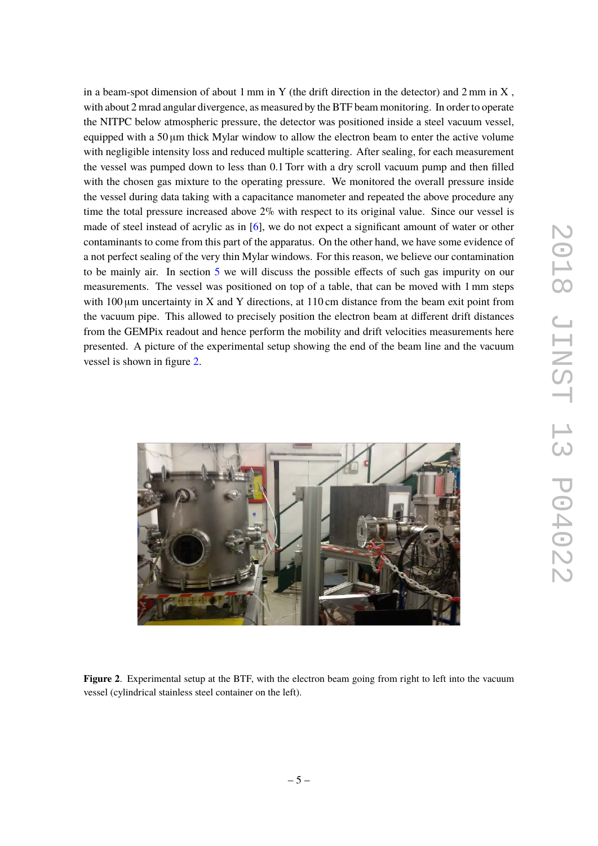in a beam-spot dimension of about 1 mm in Y (the drift direction in the detector) and 2 mm in X, with about 2 mrad angular divergence, as measured by the BTF beam monitoring. In order to operate the NITPC below atmospheric pressure, the detector was positioned inside a steel vacuum vessel, equipped with a 50 µm thick Mylar window to allow the electron beam to enter the active volume with negligible intensity loss and reduced multiple scattering. After sealing, for each measurement the vessel was pumped down to less than 0.1 Torr with a dry scroll vacuum pump and then filled with the chosen gas mixture to the operating pressure. We monitored the overall pressure inside the vessel during data taking with a capacitance manometer and repeated the above procedure any time the total pressure increased above  $2\%$  with respect to its original value. Since our vessel is made of steel instead of acrylic as in [\[6\]](#page-12-1), we do not expect a significant amount of water or other contaminants to come from this part of the apparatus. On the other hand, we have some evidence of a not perfect sealing of the very thin Mylar windows. For this reason, we believe our contamination to be mainly air. In section [5](#page-7-0) we will discuss the possible effects of such gas impurity on our measurements. The vessel was positioned on top of a table, that can be moved with 1 mm steps with  $100 \mu m$  uncertainty in X and Y directions, at  $110 \text{ cm}$  distance from the beam exit point from the vacuum pipe. This allowed to precisely position the electron beam at different drift distances from the GEMPix readout and hence perform the mobility and drift velocities measurements here presented. A picture of the experimental setup showing the end of the beam line and the vacuum vessel is shown in figure [2.](#page-6-0)

<span id="page-6-0"></span>

**Figure 2.** Experimental setup at the BTF, with the electron beam going from right to left into the vacuum vessel (cylindrical stainless steel container on the left).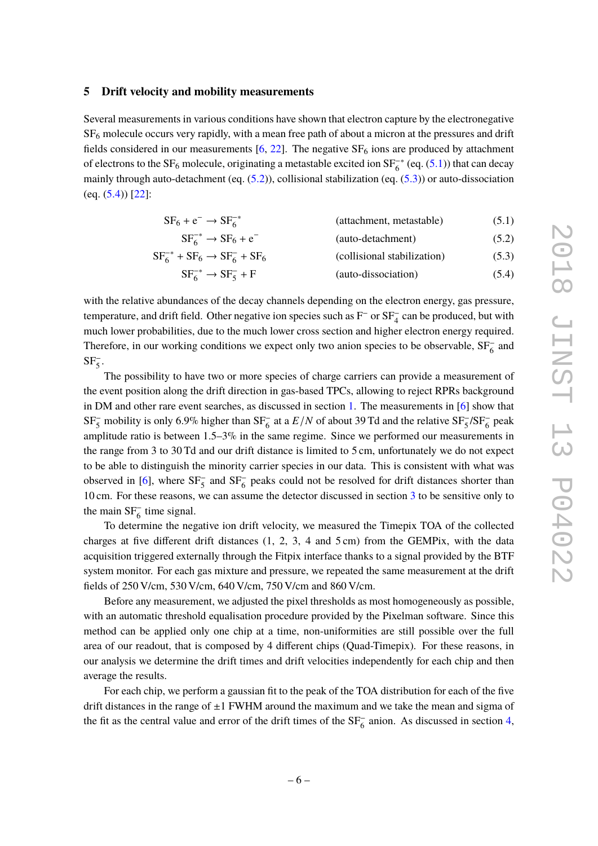#### <span id="page-7-0"></span>**5 Drift velocity and mobility measurements**

Several measurements in various conditions have shown that electron capture by the electronegative  $SF<sub>6</sub>$  molecule occurs very rapidly, with a mean free path of about a micron at the pressures and drift fields considered in our measurements  $[6, 22]$  $[6, 22]$  $[6, 22]$ . The negative  $SF<sub>6</sub>$  ions are produced by attachment of electrons to the SF<sub>6</sub> molecule, originating a metastable excited ion SF<sup>-∗</sup> (eq. [\(5.1\)](#page-7-1)) that can decay mainly through auto-detachment (eq. [\(5.2\)](#page-7-2)), collisional stabilization (eq. [\(5.3\)](#page-7-3)) or auto-dissociation  $(eq. (5.4))$  $(eq. (5.4))$  $(eq. (5.4))$  [\[22\]](#page-12-17):

<span id="page-7-4"></span><span id="page-7-3"></span><span id="page-7-2"></span><span id="page-7-1"></span>

| $SF_6 + e^- \rightarrow SF_6^{-*}$   | (attachment, metastable)    | (5.1) |
|--------------------------------------|-----------------------------|-------|
| $SF6-* \rightarrow SF6 + e-$         | (auto-detachment)           | (5.2) |
| $SF6-* + SF6 \rightarrow SF6- + SF6$ | (collisional stabilization) | (5.3) |
| $SF_6^{-*} \rightarrow SF_5^- + F$   | (auto-dissociation)         | (5.4) |

with the relative abundances of the decay channels depending on the electron energy, gas pressure, temperature, and drift field. Other negative ion species such as  $F^-$  or  $SF_4^-$  can be produced, but with much lower probabilities, due to the much lower cross section and higher electron energy required. Therefore, in our working conditions we expect only two anion species to be observable,  $SF_6^-$  and  $SF_5^-$ .

The possibility to have two or more species of charge carriers can provide a measurement of the event position along the drift direction in gas-based TPCs, allowing to reject RPRs background in DM and other rare event searches, as discussed in section [1.](#page-2-0) The measurements in [\[6\]](#page-12-1) show that SF<sub>5</sub> mobility is only 6.9% higher than SF<sub>6</sub> at a  $E/N$  of about 39 Td and the relative SF<sub>5</sub>/SF<sub>6</sub> peak amplitude ratio is between 1.5–3% in the same regime. Since we performed our measurements in the range from 3 to 30 Td and our drift distance is limited to 5 cm, unfortunately we do not expect to be able to distinguish the minority carrier species in our data. This is consistent with what was observed in [\[6\]](#page-12-1), where  $SF_5^-$  and  $SF_6^-$  peaks could not be resolved for drift distances shorter than 10 cm. For these reasons, we can assume the detector discussed in section [3](#page-4-0) to be sensitive only to the main  $SF_6^-$  time signal.

To determine the negative ion drift velocity, we measured the Timepix TOA of the collected charges at five different drift distances  $(1, 2, 3, 4, 5)$  cm from the GEMPix, with the data acquisition triggered externally through the Fitpix interface thanks to a signal provided by the BTF system monitor. For each gas mixture and pressure, we repeated the same measurement at the drift fields of 250 V/cm, 530 V/cm, 640 V/cm, 750 V/cm and 860 V/cm.

Before any measurement, we adjusted the pixel thresholds as most homogeneously as possible, with an automatic threshold equalisation procedure provided by the Pixelman software. Since this method can be applied only one chip at a time, non-uniformities are still possible over the full area of our readout, that is composed by 4 different chips (Quad-Timepix). For these reasons, in our analysis we determine the drift times and drift velocities independently for each chip and then average the results.

For each chip, we perform a gaussian fit to the peak of the TOA distribution for each of the five drift distances in the range of  $\pm 1$  FWHM around the maximum and we take the mean and sigma of the fit as the central value and error of the drift times of the  $SF_6^-$  anion. As discussed in section [4,](#page-5-0)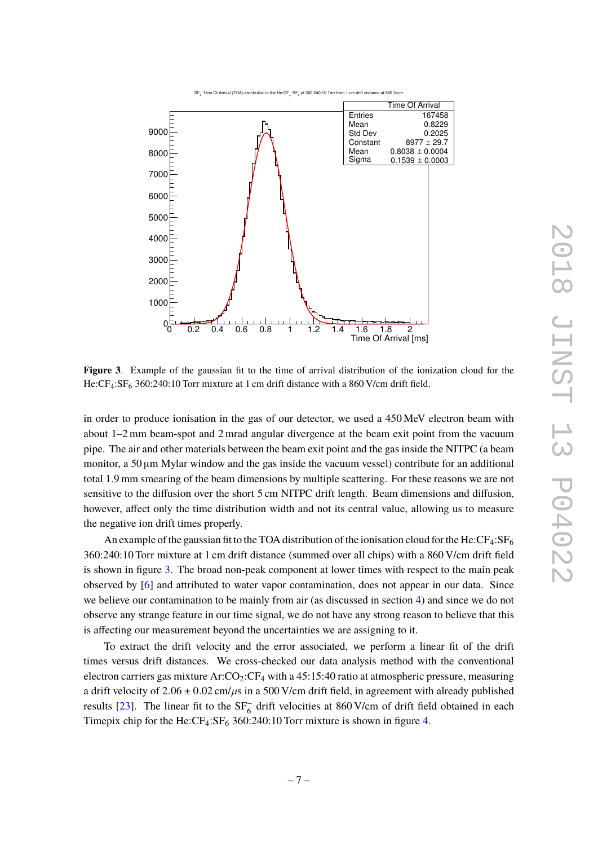



<span id="page-8-0"></span>**Figure 3**. Example of the gaussian fit to the time of arrival distribution of the ionization cloud for the He:CF<sub>4</sub>:SF<sub>6</sub> 360:240:10 Torr mixture at 1 cm drift distance with a 860 V/cm drift field.

in order to produce ionisation in the gas of our detector, we used a 450 MeV electron beam with about 1–2 mm beam-spot and 2 mrad angular divergence at the beam exit point from the vacuum pipe. The air and other materials between the beam exit point and the gas inside the NITPC (a beam monitor, a 50 µm Mylar window and the gas inside the vacuum vessel) contribute for an additional total 1.9 mm smearing of the beam dimensions by multiple scattering. For these reasons we are not sensitive to the diffusion over the short 5 cm NITPC drift length. Beam dimensions and diffusion, however, affect only the time distribution width and not its central value, allowing us to measure the negative ion drift times properly.

An example of the gaussian fit to the TOA distribution of the ionisation cloud for the He: $CF_4:SF_6$ 360:240:10 Torr mixture at 1 cm drift distance (summed over all chips) with a 860 V/cm drift field is shown in figure [3.](#page-8-0) The broad non-peak component at lower times with respect to the main peak observed by [\[6\]](#page-12-1) and attributed to water vapor contamination, does not appear in our data. Since we believe our contamination to be mainly from air (as discussed in section [4\)](#page-5-0) and since we do not observe any strange feature in our time signal, we do not have any strong reason to believe that this is affecting our measurement beyond the uncertainties we are assigning to it.

To extract the drift velocity and the error associated, we perform a linear fit of the drift times versus drift distances. We cross-checked our data analysis method with the conventional electron carriers gas mixture  $Ar:CO_2:CF_4$  with a 45:15:40 ratio at atmospheric pressure, measuring a drift velocity of  $2.06 \pm 0.02$  cm/ $\mu$ s in a 500 V/cm drift field, in agreement with already published results [\[23\]](#page-12-18). The linear fit to the  $SF_6^-$  drift velocities at 860 V/cm of drift field obtained in each Timepix chip for the He:CF<sub>4</sub>:SF<sub>6</sub> 360:240:10 Torr mixture is shown in figure [4.](#page-9-0)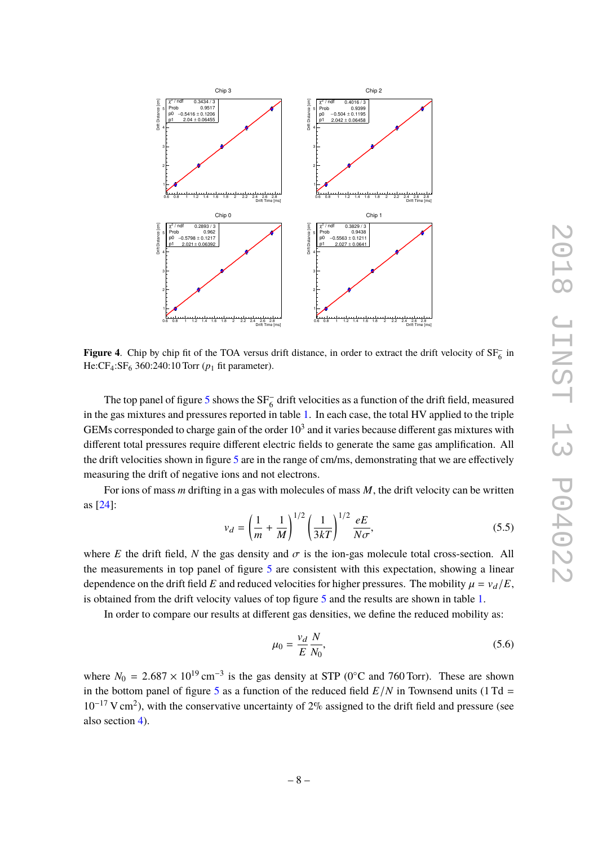

<span id="page-9-0"></span>**Figure 4.** Chip by chip fit of the TOA versus drift distance, in order to extract the drift velocity of  $SF_6^-$  in He: $CF_4$ : $SF_6$  360:240:10 Torr ( $p_1$  fit parameter).

The top panel of figure [5](#page-10-0) shows the  $SF_6^-$  drift velocities as a function of the drift field, measured in the gas mixtures and pressures reported in table [1.](#page-11-5) In each case, the total HV applied to the triple GEMs corresponded to charge gain of the order  $10^3$  and it varies because different gas mixtures with different total pressures require different electric fields to generate the same gas amplification. All the drift velocities shown in figure [5](#page-10-0) are in the range of cm/ms, demonstrating that we are effectively measuring the drift of negative ions and not electrons.

For ions of mass *m* drifting in a gas with molecules of mass *M*, the drift velocity can be written as [\[24\]](#page-12-19):

<span id="page-9-2"></span>
$$
v_d = \left(\frac{1}{m} + \frac{1}{M}\right)^{1/2} \left(\frac{1}{3kT}\right)^{1/2} \frac{eE}{N\sigma},\tag{5.5}
$$

where *E* the drift field, *N* the gas density and  $\sigma$  is the ion-gas molecule total cross-section. All the measurements in top panel of figure  $5$  are consistent with this expectation, showing a linear dependence on the drift field *E* and reduced velocities for higher pressures. The mobility  $\mu = v_d/E$ , is obtained from the drift velocity values of top figure [5](#page-10-0) and the results are shown in table [1.](#page-11-5)

In order to compare our results at different gas densities, we define the reduced mobility as:

<span id="page-9-1"></span>
$$
\mu_0 = \frac{v_d}{E} \frac{N}{N_0},\tag{5.6}
$$

where  $N_0 = 2.687 \times 10^{19} \text{ cm}^{-3}$  is the gas density at STP (0°C and 760 Torr). These are shown<br>in the hottom nanal of figure 5.000 function of the reduced field  $F/N$  in Townsond units (1 Td in the bottom panel of figure [5](#page-10-0) as a function of the reduced field  $E/N$  in Townsend units (1 Td = 10<sup>-17</sup> V cm<sup>2</sup>), with the conservative uncertainty of 2% assigned to the drift field and pressure (see also section [4\)](#page-5-0).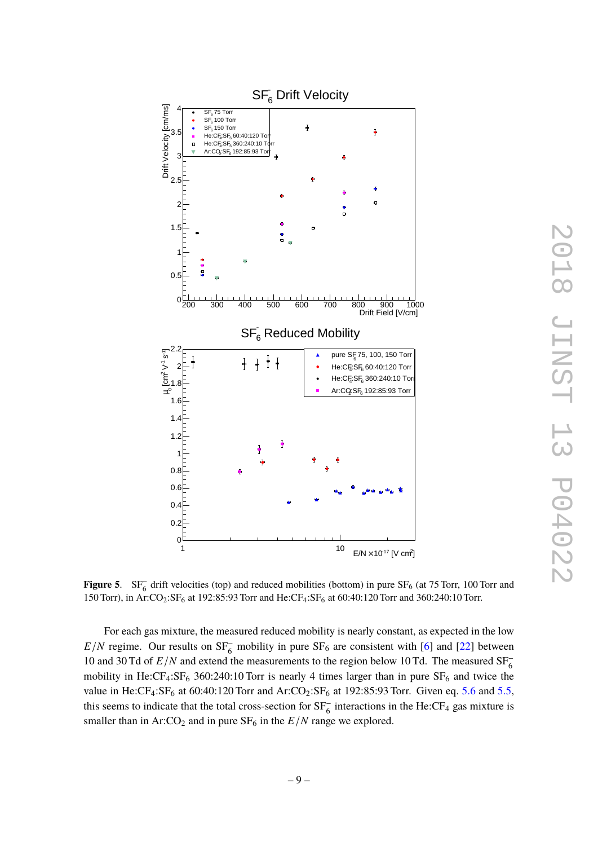

2018 JINST 13 P04022 LSNIL 8107 .<br>W **PO4022** 

<span id="page-10-0"></span>**Figure 5.**  $SF_6^-$  drift velocities (top) and reduced mobilities (bottom) in pure  $SF_6$  (at 75 Torr, 100 Torr and 150 Torr), in Ar:CO2:SF<sup>6</sup> at 192:85:93 Torr and He:CF4:SF<sup>6</sup> at 60:40:120 Torr and 360:240:10 Torr.

For each gas mixture, the measured reduced mobility is nearly constant, as expected in the low  $E/N$  regime. Our results on  $SF_6^-$  mobility in pure  $SF_6$  are consistent with [\[6\]](#page-12-1) and [\[22\]](#page-12-17) between 10 and 30 Td of  $E/N$  and extend the measurements to the region below 10 Td. The measured  $SF<sub>6</sub>$ mobility in He: $CF_4: SF_6$  360:240:10 Torr is nearly 4 times larger than in pure  $SF_6$  and twice the value in He:CF<sub>4</sub>:SF<sub>6</sub> at 60:40:120 Torr and Ar:CO<sub>2</sub>:SF<sub>6</sub> at 192:85:93 Torr. Given eq. [5.6](#page-9-1) and [5.5,](#page-9-2) this seems to indicate that the total cross-section for  $SF_6^-$  interactions in the He:CF<sub>4</sub> gas mixture is smaller than in  $Ar:CO<sub>2</sub>$  and in pure  $SF<sub>6</sub>$  in the  $E/N$  range we explored.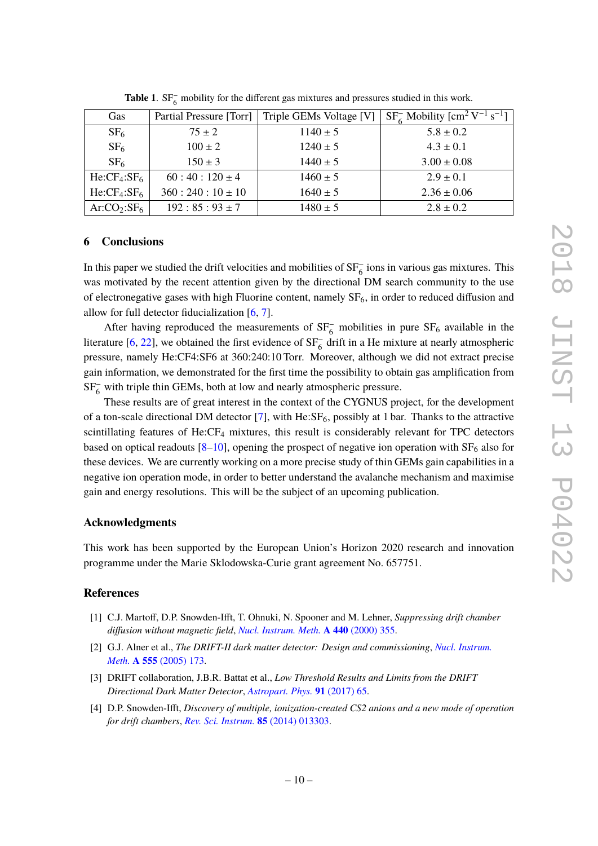| <b>Gas</b>                          | Partial Pressure [Torr] | Triple GEMs Voltage [V] | $SF6$ Mobility $\mathrm{[cm^2 V^{-1} s^{-1}]}$ |
|-------------------------------------|-------------------------|-------------------------|------------------------------------------------|
| SF <sub>6</sub>                     | $75 \pm 2$              | $1140 \pm 5$            | $5.8 \pm 0.2$                                  |
| SF <sub>6</sub>                     | $100 \pm 2$             | $1240 \pm 5$            | $4.3 \pm 0.1$                                  |
| SF <sub>6</sub>                     | $150 \pm 3$             | $1440 \pm 5$            | $3.00 \pm 0.08$                                |
| He:CF <sub>4</sub> :SF <sub>6</sub> | $60:40:120\pm4$         | $1460 \pm 5$            | $2.9 \pm 0.1$                                  |
| $He:CF_4:SF_6$                      | $360:240:10 \pm 10$     | $1640 \pm 5$            | $2.36 \pm 0.06$                                |
| Ar:CO <sub>2</sub> :SF <sub>6</sub> | $192:85:93 \pm 7$       | $1480 \pm 5$            | $2.8 \pm 0.2$                                  |

<span id="page-11-5"></span>Table 1. SF<sub>6</sub> mobility for the different gas mixtures and pressures studied in this work.

#### <span id="page-11-0"></span>**6 Conclusions**

In this paper we studied the drift velocities and mobilities of  $SF_6^-$  ions in various gas mixtures. This was motivated by the recent attention given by the directional DM search community to the use of electronegative gases with high Fluorine content, namely  $SF_6$ , in order to reduced diffusion and allow for full detector fiducialization [\[6,](#page-12-1) [7\]](#page-12-2).

After having reproduced the measurements of  $SF_6^-$  mobilities in pure  $SF_6$  available in the literature [\[6,](#page-12-1) [22\]](#page-12-17), we obtained the first evidence of  $SF_6^-$  drift in a He mixture at nearly atmospheric pressure, namely He:CF4:SF6 at 360:240:10 Torr. Moreover, although we did not extract precise gain information, we demonstrated for the first time the possibility to obtain gas amplification from SF<sub>6</sub> with triple thin GEMs, both at low and nearly atmospheric pressure.

These results are of great interest in the context of the CYGNUS project, for the development of a ton-scale directional DM detector  $[7]$ , with He:SF<sub>6</sub>, possibly at 1 bar. Thanks to the attractive scintillating features of He:CF<sub>4</sub> mixtures, this result is considerably relevant for TPC detectors based on optical readouts  $[8-10]$  $[8-10]$ , opening the prospect of negative ion operation with  $SF<sub>6</sub>$  also for these devices. We are currently working on a more precise study of thin GEMs gain capabilities in a negative ion operation mode, in order to better understand the avalanche mechanism and maximise gain and energy resolutions. This will be the subject of an upcoming publication.

#### **Acknowledgments**

This work has been supported by the European Union's Horizon 2020 research and innovation programme under the Marie Sklodowska-Curie grant agreement No. 657751.

#### **References**

- <span id="page-11-1"></span>[1] C.J. Martoff, D.P. Snowden-Ifft, T. Ohnuki, N. Spooner and M. Lehner, *Suppressing drift chamber diffusion without magnetic field*, *[Nucl. Instrum. Meth.](https://doi.org/10.1016/S0168-9002(99)00955-9)* **A 440** (2000) 355.
- <span id="page-11-2"></span>[2] G.J. Alner et al., *The DRIFT-II dark matter detector: Design and commissioning*, *[Nucl. Instrum.](https://doi.org/10.1016/j.nima.2005.09.011) Meth.* **A 555** [\(2005\) 173.](https://doi.org/10.1016/j.nima.2005.09.011)
- <span id="page-11-3"></span>[3] DRIFT collaboration, J.B.R. Battat et al., *Low Threshold Results and Limits from the DRIFT Directional Dark Matter Detector*, *[Astropart. Phys.](https://doi.org/10.1016/j.astropartphys.2017.03.007)* **91** (2017) 65.
- <span id="page-11-4"></span>[4] D.P. Snowden-Ifft, *Discovery of multiple, ionization-created CS2 anions and a new mode of operation for drift chambers*, *[Rev. Sci. Instrum.](https://doi.org/10.1063/1.4861908)* **85** (2014) 013303.